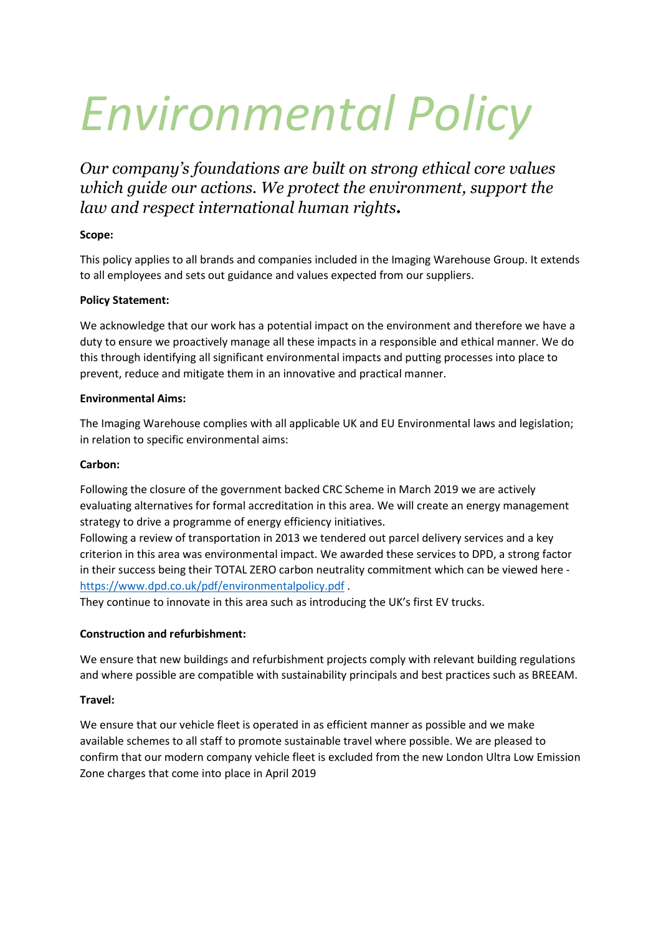# Environmental Policy

Our company's foundations are built on strong ethical core values which guide our actions. We protect the environment, support the law and respect international human rights.

# Scope:

This policy applies to all brands and companies included in the Imaging Warehouse Group. It extends to all employees and sets out guidance and values expected from our suppliers.

# Policy Statement:

We acknowledge that our work has a potential impact on the environment and therefore we have a duty to ensure we proactively manage all these impacts in a responsible and ethical manner. We do this through identifying all significant environmental impacts and putting processes into place to prevent, reduce and mitigate them in an innovative and practical manner.

## Environmental Aims:

The Imaging Warehouse complies with all applicable UK and EU Environmental laws and legislation; in relation to specific environmental aims:

# Carbon:

Following the closure of the government backed CRC Scheme in March 2019 we are actively evaluating alternatives for formal accreditation in this area. We will create an energy management strategy to drive a programme of energy efficiency initiatives.

Following a review of transportation in 2013 we tendered out parcel delivery services and a key criterion in this area was environmental impact. We awarded these services to DPD, a strong factor in their success being their TOTAL ZERO carbon neutrality commitment which can be viewed here https://www.dpd.co.uk/pdf/environmentalpolicy.pdf .

They continue to innovate in this area such as introducing the UK's first EV trucks.

# Construction and refurbishment:

We ensure that new buildings and refurbishment projects comply with relevant building regulations and where possible are compatible with sustainability principals and best practices such as BREEAM.

## Travel:

We ensure that our vehicle fleet is operated in as efficient manner as possible and we make available schemes to all staff to promote sustainable travel where possible. We are pleased to confirm that our modern company vehicle fleet is excluded from the new London Ultra Low Emission Zone charges that come into place in April 2019